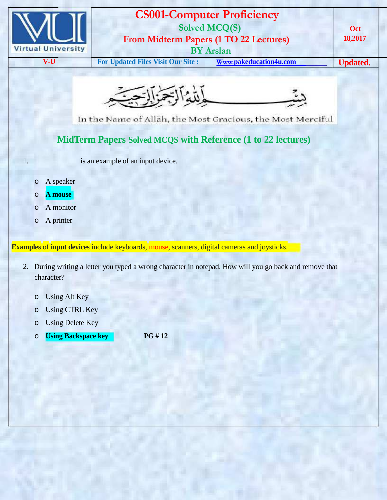

## **CS001-Computer Proficiency Solved MCQ(S) From Midterm Papers (1 TO 22 Lectures) BY Arslan**

**V-U For Updated Files Visit Our Site : Www.pakeducation4u.com Updated.**



In the Name of Allah, the Most Gracious, the Most Merciful

# **MidTerm Papers Solved MCQS with Reference (1 to 22 lectures)**

- 1. \_\_\_\_\_\_\_\_\_\_\_\_ is an example of an input device.
	- o A speaker
	- o **A mouse**
	- o A monitor
	- o A printer

**Examples** of **input devices** include keyboards, mouse, scanners, digital cameras and joysticks.

- 2. During writing a letter you typed a wrong character in notepad. How will you go back and remove that character?
	- o Using Alt Key
	- o Using CTRL Key
	- o Using Delete Key
	- o **Using Backspace key PG # 12**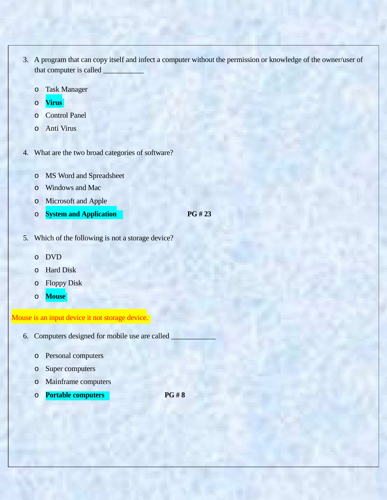- 3. A program that can copy itself and infect a computer without the permission or knowledge of the owner/user of that computer is called
	- o Task Manager
	- o **Virus**
	- o Control Panel
	- o Anti Virus
- 4. What are the two broad categories of software?
	- o MS Word and Spreadsheet
	- o Windows and Mac
	- o Microsoft and Apple
	- o **System and Application PG # 23**

- 5. Which of the following is not a storage device?
	- o DVD
	- o Hard Disk
	- o Floppy Disk
	- o **Mouse**

### Mouse is an input device it not storage device.

- 6. Computers designed for mobile use are called
	- o Personal computers
	- o Super computers
	- o Mainframe computers
	- o **Portable computers PG # 8**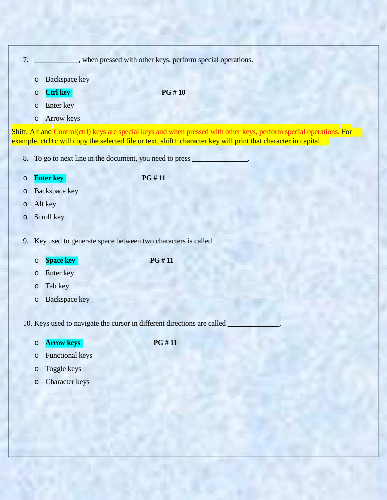| $\tau$ |         | , when pressed with other keys, perform special operations.                                                                                                                                                                             |
|--------|---------|-----------------------------------------------------------------------------------------------------------------------------------------------------------------------------------------------------------------------------------------|
|        | $\circ$ | Backspace key                                                                                                                                                                                                                           |
|        | $\circ$ | <b>Ctrl key</b><br>PG#10                                                                                                                                                                                                                |
|        | $\circ$ | Enter key                                                                                                                                                                                                                               |
|        | $\circ$ | Arrow keys                                                                                                                                                                                                                              |
|        |         | Shift, Alt and Control(ctrl) keys are special keys and when pressed with other keys, perform special operations. For<br>example, ctrl+c will copy the selected file or text, shift+ character key will print that character in capital. |

- 8. To go to next line in the document, you need to press \_
- o **Enter key PG # 11**

- o Backspace key
- o Alt key
- o Scroll key

9. Key used to generate space between two characters is called

o **Space key PG # 11**

- o Enter key
- o Tab key
- o Backspace key

10. Keys used to navigate the cursor in different directions are called

o **Arrow keys PG # 11**

- o Functional keys
- o Toggle keys
- o Character keys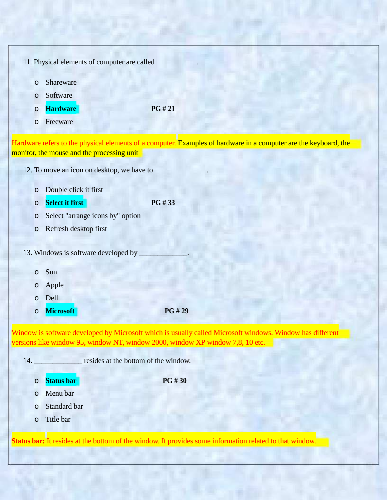|                    | 11. Physical elements of computer are called |                                                                                                                  |
|--------------------|----------------------------------------------|------------------------------------------------------------------------------------------------------------------|
|                    |                                              |                                                                                                                  |
| $\circ$            | Shareware                                    |                                                                                                                  |
| $\circ$            | Software                                     |                                                                                                                  |
| $\circ$            | <b>Hardware</b>                              | PG # 21                                                                                                          |
| $\circ$            | Freeware                                     |                                                                                                                  |
|                    |                                              | Hardware refers to the physical elements of a computer. Examples of hardware in a computer are the keyboard, the |
|                    | monitor, the mouse and the processing unit   |                                                                                                                  |
|                    | 12. To move an icon on desktop, we have to   |                                                                                                                  |
|                    |                                              |                                                                                                                  |
| $\circ$            | Double click it first                        |                                                                                                                  |
| $\circ$            | <b>Select it first</b>                       | PG#33                                                                                                            |
| $\circ$            | Select "arrange icons by" option             |                                                                                                                  |
| $\circ$            | Refresh desktop first                        |                                                                                                                  |
|                    | 13. Windows is software developed by         |                                                                                                                  |
|                    |                                              |                                                                                                                  |
| $\circ$            | Sun                                          |                                                                                                                  |
| $\circ$            | Apple                                        |                                                                                                                  |
| $\circ$            | Dell                                         |                                                                                                                  |
| $\circ$            | <b>Microsoft</b>                             | PG #29                                                                                                           |
|                    |                                              | Window is software developed by Microsoft which is usually called Microsoft windows. Window has different        |
|                    |                                              | versions like window 95, window NT, window 2000, window XP window 7,8, 10 etc.                                   |
| 14.                |                                              | resides at the bottom of the window.                                                                             |
|                    |                                              |                                                                                                                  |
| $\circ$            | <b>Status bar</b>                            | PG #30                                                                                                           |
| $\circ$<br>$\circ$ | Menu bar<br>Standard bar                     |                                                                                                                  |
| $\circ$            | Title bar                                    |                                                                                                                  |
|                    |                                              |                                                                                                                  |
|                    |                                              | Status bar: It resides at the bottom of the window. It provides some information related to that window.         |
|                    |                                              |                                                                                                                  |
|                    |                                              |                                                                                                                  |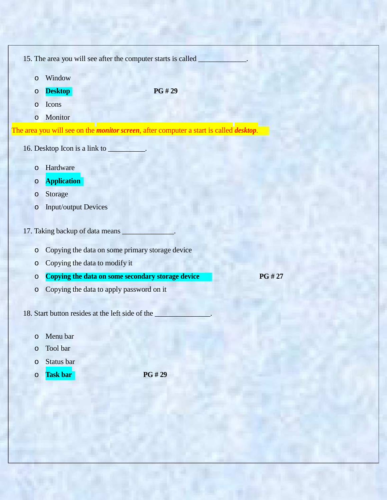|         | 15. The area you will see after the computer starts is called                                          |
|---------|--------------------------------------------------------------------------------------------------------|
| $\circ$ | Window                                                                                                 |
| $\circ$ | PG #29<br><b>Desktop</b>                                                                               |
| $\circ$ | Icons                                                                                                  |
| $\circ$ | Monitor                                                                                                |
|         | The area you will see on the <i>monitor screen</i> , after computer a start is called <i>desktop</i> . |
|         | 16. Desktop Icon is a link to                                                                          |
|         |                                                                                                        |
| $\circ$ | Hardware                                                                                               |
| $\circ$ | <b>Application</b>                                                                                     |
| $\circ$ | Storage                                                                                                |
| $\circ$ | <b>Input/output Devices</b>                                                                            |
|         | 17. Taking backup of data means                                                                        |
|         |                                                                                                        |
| $\circ$ | Copying the data on some primary storage device                                                        |
| $\circ$ | Copying the data to modify it                                                                          |
| $\circ$ | Copying the data on some secondary storage device<br>PG # 27                                           |
| $\circ$ | Copying the data to apply password on it                                                               |
|         |                                                                                                        |
|         | 18. Start button resides at the left side of the                                                       |
| $\circ$ | Menu bar                                                                                               |
| $\circ$ | Tool bar                                                                                               |
| $\circ$ | Status bar                                                                                             |
| $\circ$ | PG # 29<br><b>Task bar</b>                                                                             |
|         |                                                                                                        |
|         |                                                                                                        |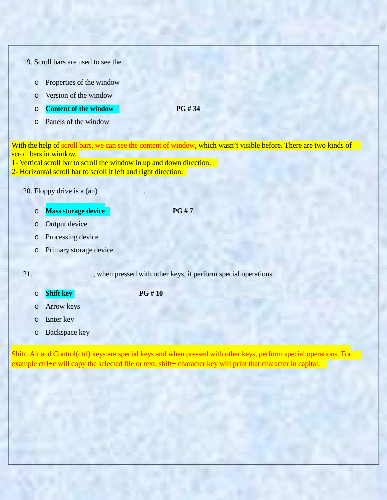|     |         | 19. Scroll bars are used to see the                                                                                                                                                                                                                                                       |
|-----|---------|-------------------------------------------------------------------------------------------------------------------------------------------------------------------------------------------------------------------------------------------------------------------------------------------|
|     | $\circ$ | Properties of the window                                                                                                                                                                                                                                                                  |
|     | $\circ$ | Version of the window                                                                                                                                                                                                                                                                     |
|     | O       | <b>Content of the window</b><br>PG #34                                                                                                                                                                                                                                                    |
|     | $\circ$ | Panels of the window                                                                                                                                                                                                                                                                      |
|     |         |                                                                                                                                                                                                                                                                                           |
|     |         | With the help of scroll bars, we can see the content of window, which wasn't visible before. There are two kinds of<br>scroll bars in window.<br>1- Vertical scroll bar to scroll the window in up and down direction.<br>2- Horizontal scroll bar to scroll it left and right direction. |
|     |         | 20. Floppy drive is a (an)                                                                                                                                                                                                                                                                |
|     | $\circ$ | <b>Mass storage device</b><br><b>PG#7</b>                                                                                                                                                                                                                                                 |
|     | O       | Output device                                                                                                                                                                                                                                                                             |
|     | $\circ$ | Processing device                                                                                                                                                                                                                                                                         |
|     | $\circ$ | Primary storage device                                                                                                                                                                                                                                                                    |
| 21. |         | when pressed with other keys, it perform special operations.                                                                                                                                                                                                                              |
|     | $\circ$ | <b>Shift key</b><br><b>PG#10</b>                                                                                                                                                                                                                                                          |
|     | $\circ$ | <b>Arrow</b> keys                                                                                                                                                                                                                                                                         |
|     | $\circ$ | Enter key                                                                                                                                                                                                                                                                                 |
|     | $\circ$ | Backspace key                                                                                                                                                                                                                                                                             |
|     |         |                                                                                                                                                                                                                                                                                           |

Shift, Alt and Control(ctrl) keys are special keys and when pressed with other keys, perform special operations. For example ctrl+c will copy the selected file or text, shift+ character key will print that character in capital.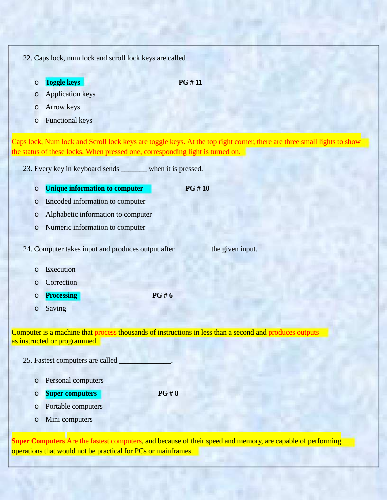22. Caps lock, num lock and scroll lock keys are called

o **Toggle keys PG # 11**

- o Application keys
- o Arrow keys
- o Functional keys

Caps lock, Num lock and Scroll lock keys are toggle keys. At the top right corner, there are three small lights to show the status of these locks. When pressed one, corresponding light is turned on.

23. Every key in keyboard sends \_\_\_\_\_\_\_ when it is pressed.

- o **Unique information to computer PG # 10**
- o Encoded information to computer
- o Alphabetic information to computer
- o Numeric information to computer
- 24. Computer takes input and produces output after \_\_\_\_\_\_\_\_\_\_ the given input.
	- o Execution
	- o Correction
	- o **Processing PG # 6**
	- o Saving

- Computer is a machine that process thousands of instructions in less than a second and produces outputs as instructed or programmed.
	- 25. Fastest computers are called \_\_\_\_\_\_\_\_\_\_\_\_\_\_.
		- o Personal computers
		- o **Super computers PG # 8**
		- o Portable computers
		- o Mini computers

**Super Computers** Are the fastest computers, and because of their speed and memory, are capable of performing operations that would not be practical for PCs or mainframes.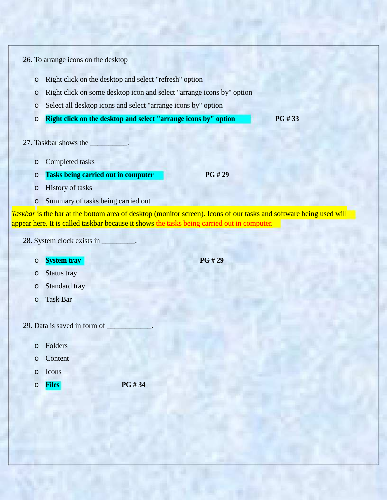26. To arrange icons on the desktop o Right click on the desktop and select "refresh" option o Right click on some desktop icon and select "arrange icons by" option o Select all desktop icons and select "arrange icons by" option o **Right click on the desktop and select "arrange icons by" option PG # 33** 27. Taskbar shows the o Completed tasks o **Tasks being carried out in computer PG # 29** o History of tasks o Summary of tasks being carried out *Taskbar* is the bar at the bottom area of desktop (monitor screen). Icons of our tasks and software being used will appear here. It is called taskbar because it shows the tasks being carried out in computer. 28. System clock exists in o **System tray PG # 29** o Status tray o Standard tray o Task Bar 29. Data is saved in form of o Folders o Content o Icons o **Files PG # 34**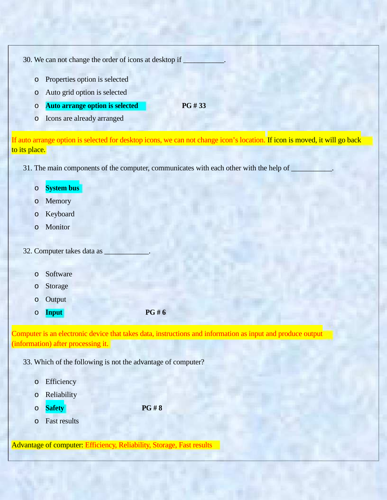| 30. We can not change the order of icons at desktop if |              |  |  |  |
|--------------------------------------------------------|--------------|--|--|--|
| o Properties option is selected                        |              |  |  |  |
| Auto grid option is selected<br>$\circ$                |              |  |  |  |
| <b>Auto arrange option is selected</b><br>$\circ$      | <b>PG#33</b> |  |  |  |
| Icons are already arranged                             |              |  |  |  |

If auto arrange option is selected for desktop icons, we can not change icon's location. If icon is moved, it will go back to its place.

31. The main components of the computer, communicates with each other with the help of \_

### o **System bus**

- o Memory
- o Keyboard
- o Monitor

32. Computer takes data as

- o Software
- o Storage
- o Output
- o **Input PG # 6**

Computer is an electronic device that takes data, instructions and information as input and produce output (information) after processing it.

33. Which of the following is not the advantage of computer?

- o Efficiency
- o Reliability
- o **Safety PG # 8**
- o Fast results

Advantage of computer: Efficiency, Reliability, Storage, Fast results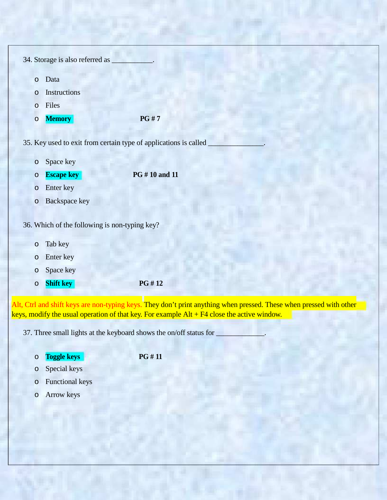|         | 34. Storage is also referred as _                                |               |  |
|---------|------------------------------------------------------------------|---------------|--|
| $\circ$ | Data                                                             |               |  |
| $\circ$ | Instructions                                                     |               |  |
| $\circ$ | Files                                                            |               |  |
| $\circ$ | <b>Memory</b>                                                    | <b>PG#7</b>   |  |
|         | 35. Key used to exit from certain type of applications is called |               |  |
| $\circ$ | Space key                                                        |               |  |
| $\circ$ | <b>Escape key</b>                                                | PG #10 and 11 |  |
| $\circ$ | Enter key                                                        |               |  |
| $\circ$ | Backspace key                                                    |               |  |
|         | 36. Which of the following is non-typing key?                    |               |  |
| $\circ$ | Tab key                                                          |               |  |
| $\circ$ | Enter key                                                        |               |  |
| $\circ$ | Space key                                                        |               |  |
| $\circ$ | <b>Shift key</b>                                                 | PG #12        |  |
|         |                                                                  |               |  |

Alt, Ctrl and shift keys are non-typing keys. They don't print anything when pressed. These when pressed with other keys, modify the usual operation of that key. For example  $Alt + F4$  close the active window.

37. Three small lights at the keyboard shows the on/off status for

## o **Toggle keys PG # 11**

- o Special keys
- o Functional keys
- o Arrow keys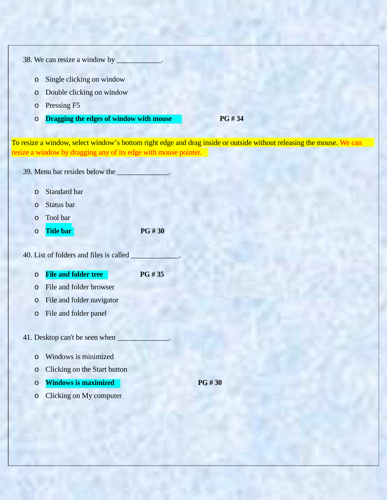|         | 38. We can resize a window by                                   |                                                                                                                      |  |
|---------|-----------------------------------------------------------------|----------------------------------------------------------------------------------------------------------------------|--|
| $\circ$ | Single clicking on window                                       |                                                                                                                      |  |
| O       | Double clicking on window                                       |                                                                                                                      |  |
| $\circ$ | Pressing F5                                                     |                                                                                                                      |  |
| $\circ$ | Dragging the edges of window with mouse                         | PG #34                                                                                                               |  |
|         |                                                                 |                                                                                                                      |  |
|         |                                                                 | To resize a window, select window's bottom right edge and drag inside or outside without releasing the mouse. We can |  |
|         | resize a window by dragging any of its edge with mouse pointer. |                                                                                                                      |  |
|         | 39. Menu bar resides below the                                  |                                                                                                                      |  |
|         | Standard bar                                                    |                                                                                                                      |  |
| O       |                                                                 |                                                                                                                      |  |
| $\circ$ | Status bar                                                      |                                                                                                                      |  |
| $\circ$ | Tool bar                                                        |                                                                                                                      |  |
| $\circ$ | <b>Title bar</b>                                                | <b>PG#30</b>                                                                                                         |  |
|         | 40. List of folders and files is called                         |                                                                                                                      |  |
|         |                                                                 |                                                                                                                      |  |
| $\circ$ | <b>File and folder tree</b>                                     | PG #35                                                                                                               |  |
| $\circ$ | File and folder browser                                         |                                                                                                                      |  |
| $\circ$ | File and folder navigator                                       |                                                                                                                      |  |
| $\circ$ | File and folder panel                                           |                                                                                                                      |  |

- 41. Desktop can't be seen when \_
	- o Windows is minimized
	- o Clicking on the Start button
	- o **Windows is maximized PG # 30**
	- o Clicking on My computer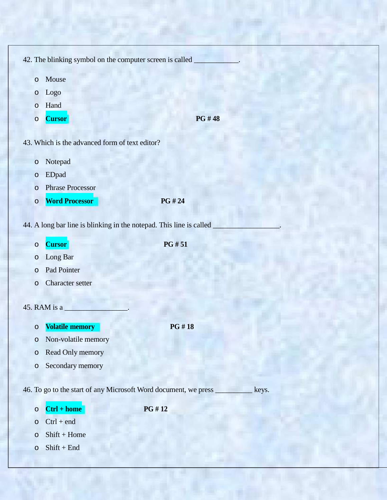|         | 42. The blinking symbol on the computer screen is called |                                                                     |       |
|---------|----------------------------------------------------------|---------------------------------------------------------------------|-------|
| $\circ$ | Mouse                                                    |                                                                     |       |
| $\circ$ | Logo                                                     |                                                                     |       |
| $\circ$ | Hand                                                     |                                                                     |       |
| $\circ$ | <b>Cursor</b>                                            | PG #48                                                              |       |
|         | 43. Which is the advanced form of text editor?           |                                                                     |       |
| $\circ$ | Notepad                                                  |                                                                     |       |
| $\circ$ | <b>EDpad</b>                                             |                                                                     |       |
| $\circ$ | <b>Phrase Processor</b>                                  |                                                                     |       |
| $\circ$ | <b>Word Processor</b>                                    | PG # 24                                                             |       |
|         |                                                          |                                                                     |       |
|         |                                                          | 44. A long bar line is blinking in the notepad. This line is called |       |
| $\circ$ | <b>Cursor</b>                                            | PG #51                                                              |       |
| $\circ$ | Long Bar                                                 |                                                                     |       |
| $\circ$ | Pad Pointer                                              |                                                                     |       |
| $\circ$ | Character setter                                         |                                                                     |       |
|         |                                                          |                                                                     |       |
|         | 45. RAM is a                                             |                                                                     |       |
| $\circ$ | <b>Volatile memory</b>                                   | PG #18                                                              |       |
| $\circ$ | Non-volatile memory                                      |                                                                     |       |
| $\circ$ | Read Only memory                                         |                                                                     |       |
| $\circ$ | Secondary memory                                         |                                                                     |       |
|         |                                                          |                                                                     |       |
|         |                                                          | 46. To go to the start of any Microsoft Word document, we press     | keys. |
| $\circ$ | $Ctrl + home$                                            | PG #12                                                              |       |
| $\circ$ | $Ctrl + end$                                             |                                                                     |       |
| $\circ$ | $Shift + Home$                                           |                                                                     |       |
| $\circ$ | $Shift + End$                                            |                                                                     |       |
|         |                                                          |                                                                     |       |

it,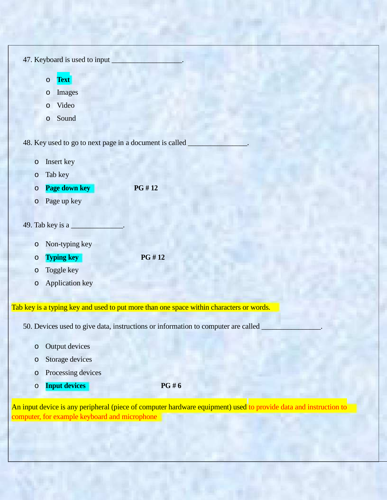|         | 47. Keyboard is used to input |                                                                                         |  |
|---------|-------------------------------|-----------------------------------------------------------------------------------------|--|
|         | <b>Text</b><br>$\circ$        |                                                                                         |  |
|         | Images<br>$\circ$             |                                                                                         |  |
|         | Video<br>$\circ$              |                                                                                         |  |
|         | Sound<br>$\circ$              |                                                                                         |  |
|         |                               | 48. Key used to go to next page in a document is called                                 |  |
| $\circ$ | Insert key                    |                                                                                         |  |
| $\circ$ | Tab key                       |                                                                                         |  |
| $\circ$ | Page down key                 | PG #12                                                                                  |  |
| $\circ$ | Page up key                   |                                                                                         |  |
|         | 49. Tab key is a              |                                                                                         |  |
| $\circ$ | Non-typing key                |                                                                                         |  |
| $\circ$ | <b>Typing key</b>             | PG #12                                                                                  |  |
| $\circ$ | Toggle key                    |                                                                                         |  |
| $\circ$ | <b>Application key</b>        |                                                                                         |  |
|         |                               | Tab key is a typing key and used to put more than one space within characters or words. |  |
|         |                               | 50. Devices used to give data, instructions or information to computer are called       |  |
| $\circ$ | Output devices                |                                                                                         |  |
| $\circ$ | Storage devices               |                                                                                         |  |
|         | Processing devices            |                                                                                         |  |

o **Input devices PG # 6**

An input device is any peripheral (piece of computer hardware equipment) used to provide data and instruction to computer, for example keyboard and microphone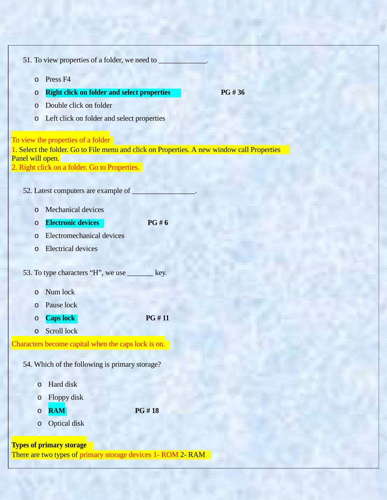|                  |         | 51. To view properties of a folder, we need to                                              |        |
|------------------|---------|---------------------------------------------------------------------------------------------|--------|
|                  |         |                                                                                             |        |
|                  | $\circ$ | Press <sub>F4</sub>                                                                         |        |
|                  | O       | <b>Right click on folder and select properties</b>                                          | PG #36 |
|                  | $\circ$ | Double click on folder                                                                      |        |
|                  | $\circ$ | Left click on folder and select properties                                                  |        |
|                  |         | To view the properties of a folder                                                          |        |
|                  |         | 1. Select the folder. Go to File menu and click on Properties. A new window call Properties |        |
| Panel will open. |         | 2. Right click on a folder. Go to Properties.                                               |        |
|                  |         |                                                                                             |        |
|                  |         | 52. Latest computers are example of                                                         |        |
|                  | $\circ$ | <b>Mechanical devices</b>                                                                   |        |
|                  | $\circ$ | <b>Electronic devices</b><br><b>PG#6</b>                                                    |        |
|                  | O       | Electromechanical devices                                                                   |        |
|                  | O       | <b>Electrical devices</b>                                                                   |        |
|                  |         |                                                                                             |        |
|                  |         | 53. To type characters "H", we use<br>key.                                                  |        |
|                  |         |                                                                                             |        |
|                  | $\circ$ | Num lock                                                                                    |        |
|                  | O       | Pause lock                                                                                  |        |
|                  | O       | <b>PG#11</b><br><b>Caps lock</b>                                                            |        |
|                  | O       | Scroll lock                                                                                 |        |
|                  |         | Characters become capital when the caps lock is on.                                         |        |
|                  |         | 54. Which of the following is primary storage?                                              |        |
|                  |         |                                                                                             |        |
|                  | $\circ$ | Hard disk                                                                                   |        |
|                  | $\circ$ | Floppy disk                                                                                 |        |
|                  | $\circ$ | <b>PG#18</b><br><b>RAM</b>                                                                  |        |
|                  | $\circ$ | Optical disk                                                                                |        |
|                  |         | <b>Types of primary storage</b>                                                             |        |

There are two types of primary storage devices 1- ROM 2- RAM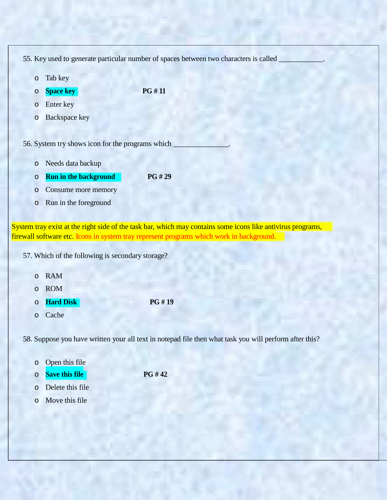55. Key used to generate particular number of spaces between two characters is called

- o Tab key
- o **Space key PG # 11**
- o Enter key
- o Backspace key

56. System try shows icon for the programs which

- o Needs data backup
- o **Run in the background PG # 29**
- o Consume more memory
- o Run in the foreground

System tray exist at the right side of the task bar, which may contains some icons like antivirus programs, firewall software etc. Icons in system tray represent programs which work in background.

57. Which of the following is secondary storage?

- o RAM
- o ROM
- o **Hard Disk PG # 19**
- o Cache

58. Suppose you have written your all text in notepad file then what task you will perform after this?

- o Open this file
- o **Save this file PG # 42**
- o Delete this file
- o Move this file